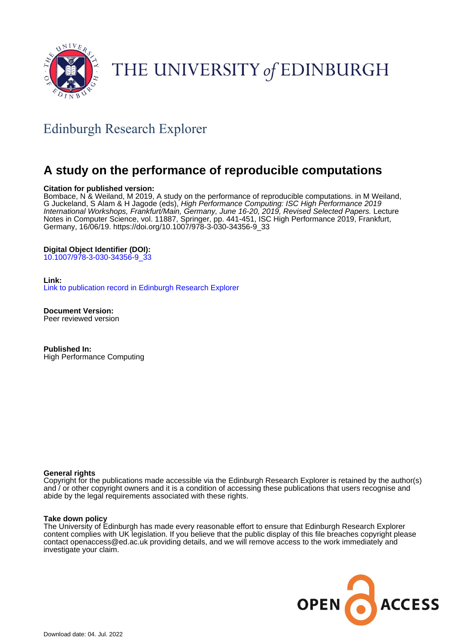

# THE UNIVERSITY of EDINBURGH

## Edinburgh Research Explorer

### **A study on the performance of reproducible computations**

#### **Citation for published version:**

Bombace, N'& Weiland, M 2019, A study on the performance of reproducible computations. in M Weiland, G Juckeland, S Alam & H Jagode (eds), High Performance Computing: ISC High Performance 2019 International Workshops, Frankfurt/Main, Germany, June 16-20, 2019, Revised Selected Papers. Lecture Notes in Computer Science, vol. 11887, Springer, pp. 441-451, ISC High Performance 2019, Frankfurt, Germany, 16/06/19. [https://doi.org/10.1007/978-3-030-34356-9\\_33](https://doi.org/10.1007/978-3-030-34356-9_33)

#### **Digital Object Identifier (DOI):**

[10.1007/978-3-030-34356-9\\_33](https://doi.org/10.1007/978-3-030-34356-9_33)

#### **Link:**

[Link to publication record in Edinburgh Research Explorer](https://www.research.ed.ac.uk/en/publications/03b6c666-89c5-4c9e-a584-780b832d5735)

**Document Version:** Peer reviewed version

**Published In:** High Performance Computing

#### **General rights**

Copyright for the publications made accessible via the Edinburgh Research Explorer is retained by the author(s) and / or other copyright owners and it is a condition of accessing these publications that users recognise and abide by the legal requirements associated with these rights.

#### **Take down policy**

The University of Edinburgh has made every reasonable effort to ensure that Edinburgh Research Explorer content complies with UK legislation. If you believe that the public display of this file breaches copyright please contact openaccess@ed.ac.uk providing details, and we will remove access to the work immediately and investigate your claim.

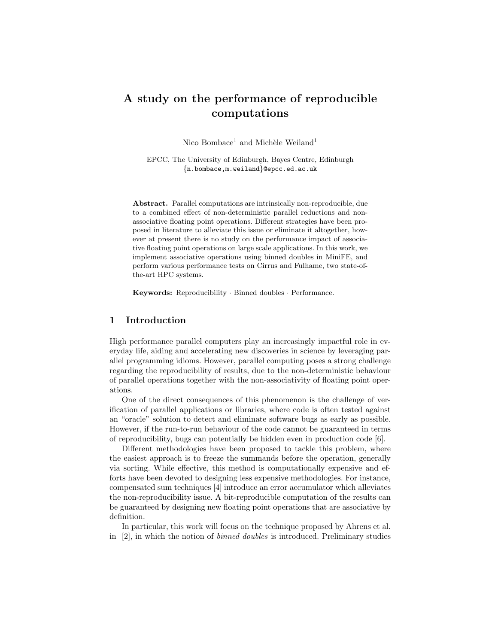### A study on the performance of reproducible computations

Nico Bombace<sup>1</sup> and Michèle Weiland<sup>1</sup>

EPCC, The University of Edinburgh, Bayes Centre, Edinburgh {n.bombace,m.weiland}@epcc.ed.ac.uk

Abstract. Parallel computations are intrinsically non-reproducible, due to a combined effect of non-deterministic parallel reductions and nonassociative floating point operations. Different strategies have been proposed in literature to alleviate this issue or eliminate it altogether, however at present there is no study on the performance impact of associative floating point operations on large scale applications. In this work, we implement associative operations using binned doubles in MiniFE, and perform various performance tests on Cirrus and Fulhame, two state-ofthe-art HPC systems.

Keywords: Reproducibility · Binned doubles · Performance.

#### 1 Introduction

High performance parallel computers play an increasingly impactful role in everyday life, aiding and accelerating new discoveries in science by leveraging parallel programming idioms. However, parallel computing poses a strong challenge regarding the reproducibility of results, due to the non-deterministic behaviour of parallel operations together with the non-associativity of floating point operations.

One of the direct consequences of this phenomenon is the challenge of verification of parallel applications or libraries, where code is often tested against an "oracle" solution to detect and eliminate software bugs as early as possible. However, if the run-to-run behaviour of the code cannot be guaranteed in terms of reproducibility, bugs can potentially be hidden even in production code [6].

Different methodologies have been proposed to tackle this problem, where the easiest approach is to freeze the summands before the operation, generally via sorting. While effective, this method is computationally expensive and efforts have been devoted to designing less expensive methodologies. For instance, compensated sum techniques [4] introduce an error accumulator which alleviates the non-reproducibility issue. A bit-reproducible computation of the results can be guaranteed by designing new floating point operations that are associative by definition.

In particular, this work will focus on the technique proposed by Ahrens et al. in [2], in which the notion of binned doubles is introduced. Preliminary studies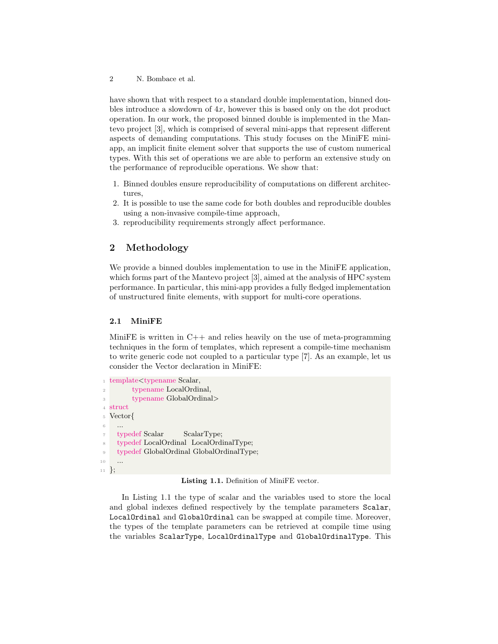2 N. Bombace et al.

have shown that with respect to a standard double implementation, binned doubles introduce a slowdown of  $4x$ , however this is based only on the dot product operation. In our work, the proposed binned double is implemented in the Mantevo project [3], which is comprised of several mini-apps that represent different aspects of demanding computations. This study focuses on the MiniFE miniapp, an implicit finite element solver that supports the use of custom numerical types. With this set of operations we are able to perform an extensive study on the performance of reproducible operations. We show that:

- 1. Binned doubles ensure reproducibility of computations on different architectures,
- 2. It is possible to use the same code for both doubles and reproducible doubles using a non-invasive compile-time approach,
- 3. reproducibility requirements strongly affect performance.

#### 2 Methodology

We provide a binned doubles implementation to use in the MiniFE application, which forms part of the Mantevo project [3], aimed at the analysis of HPC system performance. In particular, this mini-app provides a fully fledged implementation of unstructured finite elements, with support for multi-core operations.

#### 2.1 MiniFE

MiniFE is written in  $C_{++}$  and relies heavily on the use of meta-programming techniques in the form of templates, which represent a compile-time mechanism to write generic code not coupled to a particular type [7]. As an example, let us consider the Vector declaration in MiniFE:

```
1 template<typename Scalar,
<sup>2</sup> typename LocalOrdinal,
3 typename GlobalOrdinal>
4 struct
5 Vector{
6 ...
7 typedef Scalar ScalarType;
8 typedef LocalOrdinal LocalOrdinalType;
9 typedef GlobalOrdinal GlobalOrdinalType;
10 ...
11 };
```
Listing 1.1. Definition of MiniFE vector.

In Listing 1.1 the type of scalar and the variables used to store the local and global indexes defined respectively by the template parameters Scalar, LocalOrdinal and GlobalOrdinal can be swapped at compile time. Moreover, the types of the template parameters can be retrieved at compile time using the variables ScalarType, LocalOrdinalType and GlobalOrdinalType. This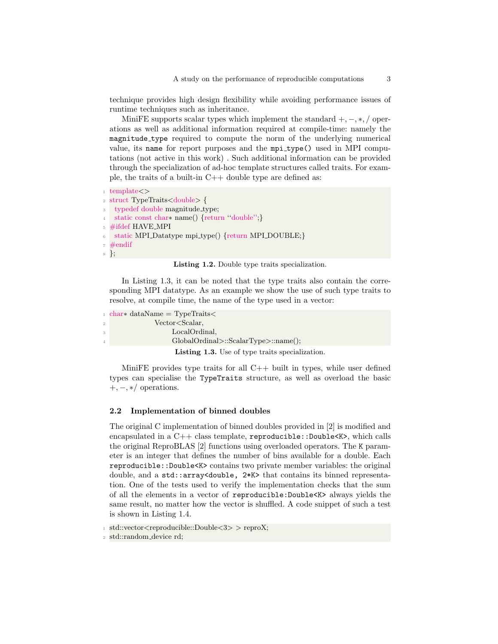technique provides high design flexibility while avoiding performance issues of runtime techniques such as inheritance.

MiniFE supports scalar types which implement the standard  $+,-,*,/$  operations as well as additional information required at compile-time: namely the magnitude type required to compute the norm of the underlying numerical value, its name for report purposes and the mpi\_type() used in MPI computations (not active in this work) . Such additional information can be provided through the specialization of ad-hoc template structures called traits. For example, the traits of a built-in  $C++$  double type are defined as:

```
_1 template\lt2 struct TypeTraits<double> {
3 typedef double magnitude type;
   4 static const char∗ name() {return ''double'';}
5 #ifdef HAVE MPI
6 static MPI Datatype mpi type() {return MPI DOUBLE;}
7 \neqendif
8 };
```
Listing 1.2. Double type traits specialization.

In Listing 1.3, it can be noted that the type traits also contain the corresponding MPI datatype. As an example we show the use of such type traits to resolve, at compile time, the name of the type used in a vector:

|   | $_1$ char* dataName = TypeTraits                       |
|---|--------------------------------------------------------|
|   | Vector < Scalar,                                       |
| 3 | LocalOrdinal,                                          |
| 4 | $GlobalOrdinal>\n::ScalarType>\n::name();$             |
|   | <b>Listing 1.3.</b> Use of type traits specialization. |

MiniFE provides type traits for all C++ built in types, while user defined types can specialise the TypeTraits structure, as well as overload the basic  $+, -, *$  operations.

#### 2.2 Implementation of binned doubles

The original C implementation of binned doubles provided in [2] is modified and encapsulated in a  $C++$  class template, reproducible::Double<K>, which calls the original ReproBLAS [2] functions using overloaded operators. The K parameter is an integer that defines the number of bins available for a double. Each reproducible::Double<K> contains two private member variables: the original double, and a std::array<double, 2\*K> that contains its binned representation. One of the tests used to verify the implementation checks that the sum of all the elements in a vector of reproducible:Double<K> always yields the same result, no matter how the vector is shuffled. A code snippet of such a test is shown in Listing 1.4.

std::vector<reproducible::Double<3> > reproX;

<sup>2</sup> std::random device rd;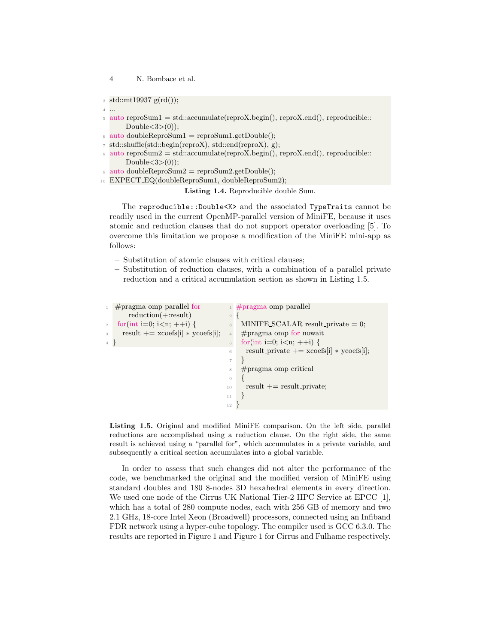- 4 N. Bombace et al.
- 3 std:: $mt19937 g(rd))$ ;
- <sup>4</sup> ...
- $\sigma$  auto reproSum1 = std::accumulate(reproX.begin(), reproX.end(), reproducible:: Double $\langle 3 \rangle(0)$ :
- $6$  auto doubleReproSum1 = reproSum1.getDouble();
- <sup>7</sup> std::shuffle(std::begin(reproX), std::end(reproX), g);
- $\alpha$  auto reproSum2 = std::accumulate(reproX.begin(), reproX.end(), reproducible:: Double $<3>(0)$ ;
- 9 auto doubleReproSum2 = reproSum2.getDouble();
- <sup>10</sup> EXPECT EQ(doubleReproSum1, doubleReproSum2);

Listing 1.4. Reproducible double Sum.

The reproducible::Double<K> and the associated TypeTraits cannot be readily used in the current OpenMP-parallel version of MiniFE, because it uses atomic and reduction clauses that do not support operator overloading [5]. To overcome this limitation we propose a modification of the MiniFE mini-app as follows:

- Substitution of atomic clauses with critical clauses;
- Substitution of reduction clauses, with a combination of a parallel private reduction and a critical accumulation section as shown in Listing 1.5.

| $\mathbf{1}$   | $\#$ pragma omp parallel for                                                                                   |                | $\pm$ #pragma omp parallel                   |
|----------------|----------------------------------------------------------------------------------------------------------------|----------------|----------------------------------------------|
|                | $reduction(+:result)$                                                                                          | $\overline{2}$ |                                              |
| $\overline{2}$ | for(int i=0; i <n; ++i)="" td="" {<=""><td>3</td><td><math>MINIFE\_SCALAR</math> result_private = 0;</td></n;> | 3              | $MINIFE\_SCALAR$ result_private = 0;         |
| 3              | $result += xcoefs[i] * ycoefs[i];$                                                                             | $\overline{4}$ | $\#$ pragma omp for nowait                   |
| $\overline{4}$ |                                                                                                                | $\rm 5$        | for(int i=0; i <n; ++i)="" td="" {<=""></n;> |
|                |                                                                                                                | 6              | result_private $+=$ xcoefs[i] $*$ ycoefs[i]; |
|                |                                                                                                                | $\overline{7}$ |                                              |
|                |                                                                                                                | 8              | $\#$ pragma omp critical                     |
|                |                                                                                                                | 9              |                                              |
|                |                                                                                                                | 10             | $result$ += result_private;                  |
|                |                                                                                                                | 11             |                                              |
|                |                                                                                                                | 12             |                                              |

Listing 1.5. Original and modified MiniFE comparison. On the left side, parallel reductions are accomplished using a reduction clause. On the right side, the same result is achieved using a "parallel for", which accumulates in a private variable, and subsequently a critical section accumulates into a global variable.

In order to assess that such changes did not alter the performance of the code, we benchmarked the original and the modified version of MiniFE using standard doubles and 180 8-nodes 3D hexahedral elements in every direction. We used one node of the Cirrus UK National Tier-2 HPC Service at EPCC [1], which has a total of 280 compute nodes, each with 256 GB of memory and two 2.1 GHz, 18-core Intel Xeon (Broadwell) processors, connected using an Infiband FDR network using a hyper-cube topology. The compiler used is GCC 6.3.0. The results are reported in Figure 1 and Figure 1 for Cirrus and Fulhame respectively.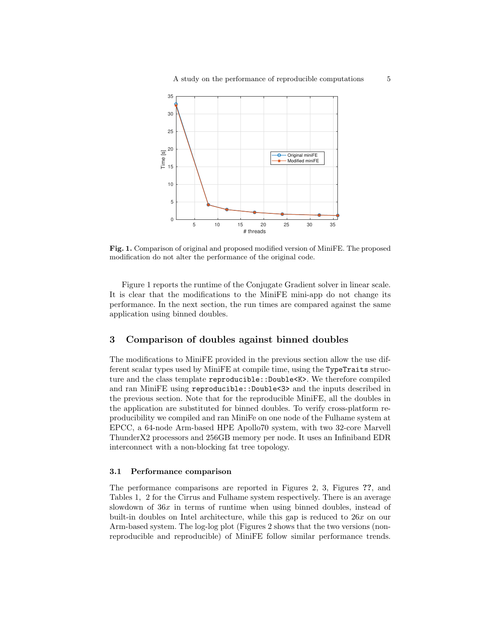

Fig. 1. Comparison of original and proposed modified version of MiniFE. The proposed modification do not alter the performance of the original code.

Figure 1 reports the runtime of the Conjugate Gradient solver in linear scale. It is clear that the modifications to the MiniFE mini-app do not change its performance. In the next section, the run times are compared against the same application using binned doubles.

#### 3 Comparison of doubles against binned doubles

The modifications to MiniFE provided in the previous section allow the use different scalar types used by MiniFE at compile time, using the TypeTraits structure and the class template reproducible::Double<K>. We therefore compiled and ran MiniFE using reproducible::Double<3> and the inputs described in the previous section. Note that for the reproducible MiniFE, all the doubles in the application are substituted for binned doubles. To verify cross-platform reproducibility we compiled and ran MiniFe on one node of the Fulhame system at EPCC, a 64-node Arm-based HPE Apollo70 system, with two 32-core Marvell ThunderX2 processors and 256GB memory per node. It uses an Infiniband EDR interconnect with a non-blocking fat tree topology.

#### 3.1 Performance comparison

The performance comparisons are reported in Figures 2, 3, Figures ??, and Tables 1, 2 for the Cirrus and Fulhame system respectively. There is an average slowdown of  $36x$  in terms of runtime when using binned doubles, instead of built-in doubles on Intel architecture, while this gap is reduced to 26x on our Arm-based system. The log-log plot (Figures 2 shows that the two versions (nonreproducible and reproducible) of MiniFE follow similar performance trends.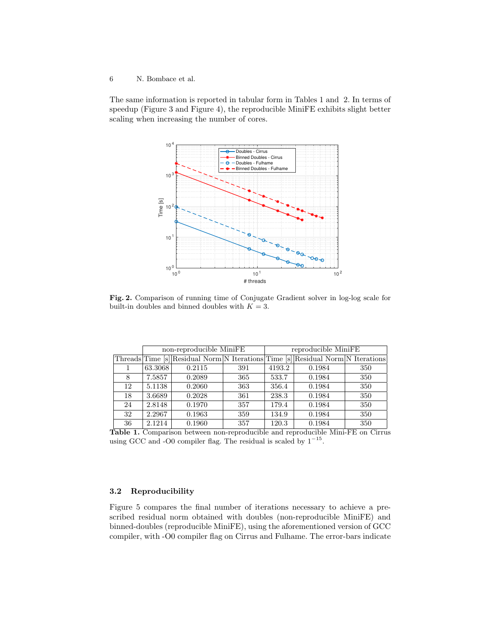#### 6 N. Bombace et al.

The same information is reported in tabular form in Tables 1 and 2. In terms of speedup (Figure 3 and Figure 4), the reproducible MiniFE exhibits slight better scaling when increasing the number of cores.



Fig. 2. Comparison of running time of Conjugate Gradient solver in log-log scale for built-in doubles and binned doubles with  $K = 3$ .

|    | non-reproducible MiniFE |                                                                                 |     | reproducible MiniFE |        |     |  |
|----|-------------------------|---------------------------------------------------------------------------------|-----|---------------------|--------|-----|--|
|    |                         | Threads Time [s] Residual Norm N Iterations Time [s] Residual Norm N Iterations |     |                     |        |     |  |
|    | 63.3068                 | 0.2115                                                                          | 391 | 4193.2              | 0.1984 | 350 |  |
| 8  | 7.5857                  | 0.2089                                                                          | 365 | 533.7               | 0.1984 | 350 |  |
| 12 | 5.1138                  | 0.2060                                                                          | 363 | 356.4               | 0.1984 | 350 |  |
| 18 | 3.6689                  | 0.2028                                                                          | 361 | 238.3               | 0.1984 | 350 |  |
| 24 | 2.8148                  | 0.1970                                                                          | 357 | 179.4               | 0.1984 | 350 |  |
| 32 | 2.2967                  | 0.1963                                                                          | 359 | 134.9               | 0.1984 | 350 |  |
| 36 | 2.1214                  | 0.1960                                                                          | 357 | 120.3               | 0.1984 | 350 |  |

Table 1. Comparison between non-reproducible and reproducible Mini-FE on Cirrus using GCC and -O0 compiler flag. The residual is scaled by  $1^{-15}$ .

#### 3.2 Reproducibility

Figure 5 compares the final number of iterations necessary to achieve a prescribed residual norm obtained with doubles (non-reproducible MiniFE) and binned-doubles (reproducible MiniFE), using the aforementioned version of GCC compiler, with -O0 compiler flag on Cirrus and Fulhame. The error-bars indicate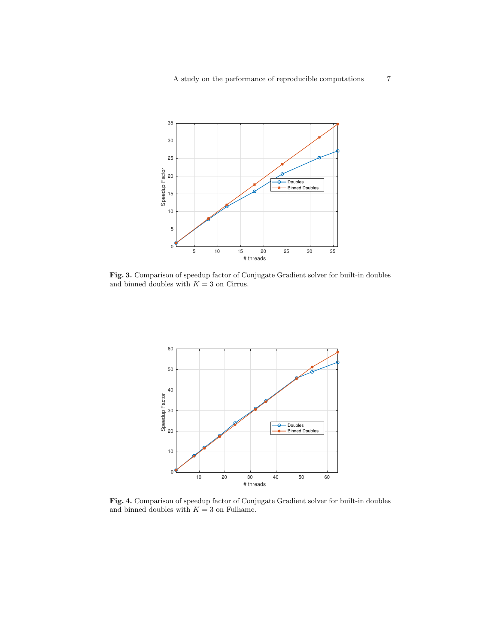

Fig. 3. Comparison of speedup factor of Conjugate Gradient solver for built-in doubles and binned doubles with  $K=3$  on Cirrus.



Fig. 4. Comparison of speedup factor of Conjugate Gradient solver for built-in doubles and binned doubles with  $K=3$  on Fulhame.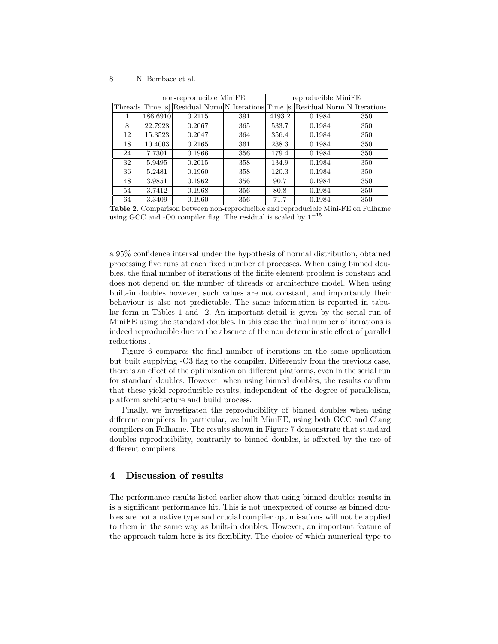|    | non-reproducible MiniFE |                                                                                 |     | reproducible MiniFE |        |     |  |  |  |
|----|-------------------------|---------------------------------------------------------------------------------|-----|---------------------|--------|-----|--|--|--|
|    |                         | Threads Time [s] Residual Norm N Iterations Time [s] Residual Norm N Iterations |     |                     |        |     |  |  |  |
| 1  | 186.6910                | 0.2115                                                                          | 391 | 4193.2              | 0.1984 | 350 |  |  |  |
| 8  | 22.7928                 | 0.2067                                                                          | 365 | 533.7               | 0.1984 | 350 |  |  |  |
| 12 | 15.3523                 | 0.2047                                                                          | 364 | 356.4               | 0.1984 | 350 |  |  |  |
| 18 | 10.4003                 | 0.2165                                                                          | 361 | 238.3               | 0.1984 | 350 |  |  |  |
| 24 | 7.7301                  | 0.1966                                                                          | 356 | 179.4               | 0.1984 | 350 |  |  |  |
| 32 | 5.9495                  | 0.2015                                                                          | 358 | 134.9               | 0.1984 | 350 |  |  |  |
| 36 | 5.2481                  | 0.1960                                                                          | 358 | 120.3               | 0.1984 | 350 |  |  |  |
| 48 | 3.9851                  | 0.1962                                                                          | 356 | 90.7                | 0.1984 | 350 |  |  |  |
| 54 | 3.7412                  | 0.1968                                                                          | 356 | 80.8                | 0.1984 | 350 |  |  |  |
| 64 | 3.3409                  | 0.1960                                                                          | 356 | 71.7                | 0.1984 | 350 |  |  |  |

Table 2. Comparison between non-reproducible and reproducible Mini-FE on Fulhame using GCC and -O0 compiler flag. The residual is scaled by  $1^{-15}$ .

a 95% confidence interval under the hypothesis of normal distribution, obtained processing five runs at each fixed number of processes. When using binned doubles, the final number of iterations of the finite element problem is constant and does not depend on the number of threads or architecture model. When using built-in doubles however, such values are not constant, and importantly their behaviour is also not predictable. The same information is reported in tabular form in Tables 1 and 2. An important detail is given by the serial run of MiniFE using the standard doubles. In this case the final number of iterations is indeed reproducible due to the absence of the non deterministic effect of parallel reductions .

Figure 6 compares the final number of iterations on the same application but built supplying -O3 flag to the compiler. Differently from the previous case, there is an effect of the optimization on different platforms, even in the serial run for standard doubles. However, when using binned doubles, the results confirm that these yield reproducible results, independent of the degree of parallelism, platform architecture and build process.

Finally, we investigated the reproducibility of binned doubles when using different compilers. In particular, we built MiniFE, using both GCC and Clang compilers on Fulhame. The results shown in Figure 7 demonstrate that standard doubles reproducibility, contrarily to binned doubles, is affected by the use of different compilers,

#### 4 Discussion of results

The performance results listed earlier show that using binned doubles results in is a significant performance hit. This is not unexpected of course as binned doubles are not a native type and crucial compiler optimisations will not be applied to them in the same way as built-in doubles. However, an important feature of the approach taken here is its flexibility. The choice of which numerical type to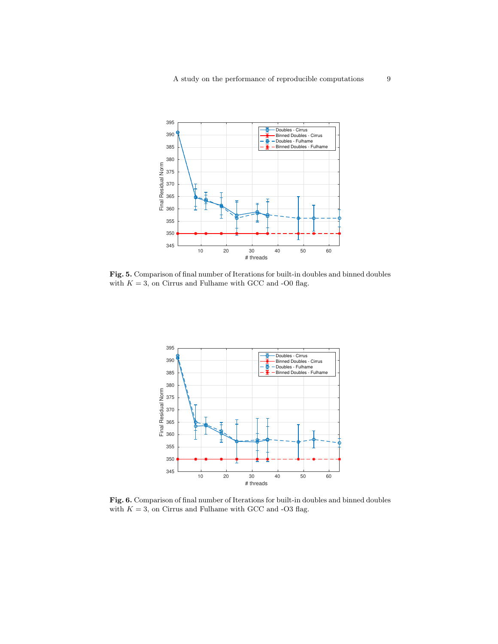

Fig. 5. Comparison of final number of Iterations for built-in doubles and binned doubles with  $K = 3$ , on Cirrus and Fulhame with GCC and -O0 flag.



Fig. 6. Comparison of final number of Iterations for built-in doubles and binned doubles with  $K=3,$  on Cirrus and Fulhame with GCC and -O3 flag.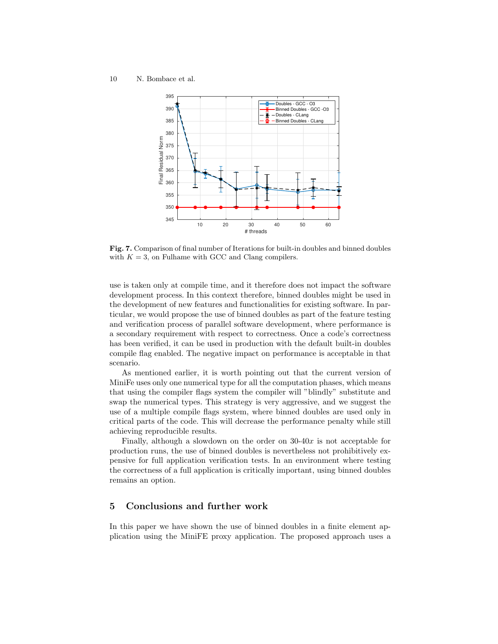#### 10 N. Bombace et al.



Fig. 7. Comparison of final number of Iterations for built-in doubles and binned doubles with  $K = 3$ , on Fulhame with GCC and Clang compilers.

use is taken only at compile time, and it therefore does not impact the software development process. In this context therefore, binned doubles might be used in the development of new features and functionalities for existing software. In particular, we would propose the use of binned doubles as part of the feature testing and verification process of parallel software development, where performance is a secondary requirement with respect to correctness. Once a code's correctness has been verified, it can be used in production with the default built-in doubles compile flag enabled. The negative impact on performance is acceptable in that scenario.

As mentioned earlier, it is worth pointing out that the current version of MiniFe uses only one numerical type for all the computation phases, which means that using the compiler flags system the compiler will "blindly" substitute and swap the numerical types. This strategy is very aggressive, and we suggest the use of a multiple compile flags system, where binned doubles are used only in critical parts of the code. This will decrease the performance penalty while still achieving reproducible results.

Finally, although a slowdown on the order on  $30-40x$  is not acceptable for production runs, the use of binned doubles is nevertheless not prohibitively expensive for full application verification tests. In an environment where testing the correctness of a full application is critically important, using binned doubles remains an option.

#### 5 Conclusions and further work

In this paper we have shown the use of binned doubles in a finite element application using the MiniFE proxy application. The proposed approach uses a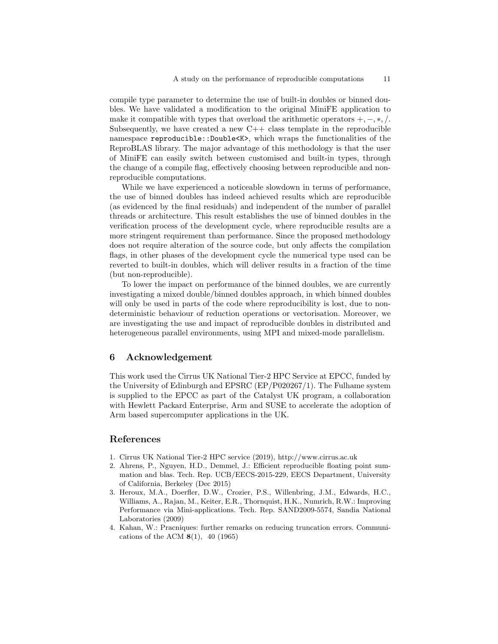compile type parameter to determine the use of built-in doubles or binned doubles. We have validated a modification to the original MiniFE application to make it compatible with types that overload the arithmetic operators  $+$ ,  $-$ ,  $*$ ,  $/$ . Subsequently, we have created a new  $C++$  class template in the reproducible namespace reproducible::Double<K>, which wraps the functionalities of the ReproBLAS library. The major advantage of this methodology is that the user of MiniFE can easily switch between customised and built-in types, through the change of a compile flag, effectively choosing between reproducible and nonreproducible computations.

While we have experienced a noticeable slowdown in terms of performance, the use of binned doubles has indeed achieved results which are reproducible (as evidenced by the final residuals) and independent of the number of parallel threads or architecture. This result establishes the use of binned doubles in the verification process of the development cycle, where reproducible results are a more stringent requirement than performance. Since the proposed methodology does not require alteration of the source code, but only affects the compilation flags, in other phases of the development cycle the numerical type used can be reverted to built-in doubles, which will deliver results in a fraction of the time (but non-reproducible).

To lower the impact on performance of the binned doubles, we are currently investigating a mixed double/binned doubles approach, in which binned doubles will only be used in parts of the code where reproducibility is lost, due to nondeterministic behaviour of reduction operations or vectorisation. Moreover, we are investigating the use and impact of reproducible doubles in distributed and heterogeneous parallel environments, using MPI and mixed-mode parallelism.

#### 6 Acknowledgement

This work used the Cirrus UK National Tier-2 HPC Service at EPCC, funded by the University of Edinburgh and EPSRC (EP/P020267/1). The Fulhame system is supplied to the EPCC as part of the Catalyst UK program, a collaboration with Hewlett Packard Enterprise, Arm and SUSE to accelerate the adoption of Arm based supercomputer applications in the UK.

#### References

- 1. Cirrus UK National Tier-2 HPC service (2019), http://www.cirrus.ac.uk
- 2. Ahrens, P., Nguyen, H.D., Demmel, J.: Efficient reproducible floating point summation and blas. Tech. Rep. UCB/EECS-2015-229, EECS Department, University of California, Berkeley (Dec 2015)
- 3. Heroux, M.A., Doerfler, D.W., Crozier, P.S., Willenbring, J.M., Edwards, H.C., Williams, A., Rajan, M., Keiter, E.R., Thornquist, H.K., Numrich, R.W.: Improving Performance via Mini-applications. Tech. Rep. SAND2009-5574, Sandia National Laboratories (2009)
- 4. Kahan, W.: Pracniques: further remarks on reducing truncation errors. Communications of the ACM  $8(1)$ , 40 (1965)